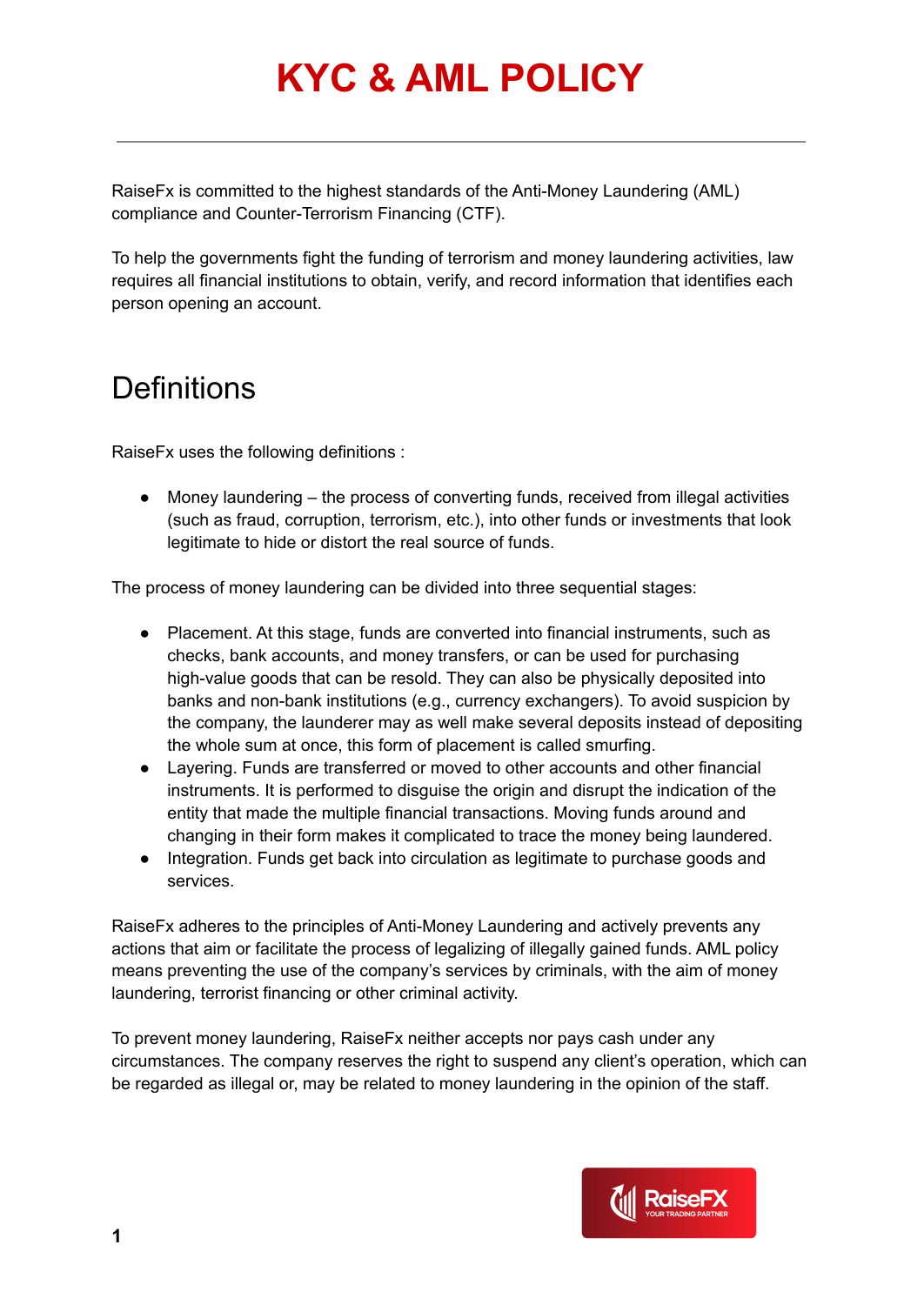RaiseFx is committed to the highest standards of the Anti-Money Laundering (AML) compliance and Counter-Terrorism Financing (CTF).

To help the governments fight the funding of terrorism and money laundering activities, law requires all financial institutions to obtain, verify, and record information that identifies each person opening an account.

#### **Definitions**

RaiseFx uses the following definitions :

 $\bullet$  Money laundering  $-$  the process of converting funds, received from illegal activities (such as fraud, corruption, terrorism, etc.), into other funds or investments that look legitimate to hide or distort the real source of funds.

The process of money laundering can be divided into three sequential stages:

- Placement. At this stage, funds are converted into financial instruments, such as checks, bank accounts, and money transfers, or can be used for purchasing high-value goods that can be resold. They can also be physically deposited into banks and non-bank institutions (e.g., currency exchangers). To avoid suspicion by the company, the launderer may as well make several deposits instead of depositing the whole sum at once, this form of placement is called smurfing.
- Layering. Funds are transferred or moved to other accounts and other financial instruments. It is performed to disguise the origin and disrupt the indication of the entity that made the multiple financial transactions. Moving funds around and changing in their form makes it complicated to trace the money being laundered.
- Integration. Funds get back into circulation as legitimate to purchase goods and services.

RaiseFx adheres to the principles of Anti-Money Laundering and actively prevents any actions that aim or facilitate the process of legalizing of illegally gained funds. AML policy means preventing the use of the company's services by criminals, with the aim of money laundering, terrorist financing or other criminal activity.

To prevent money laundering, RaiseFx neither accepts nor pays cash under any circumstances. The company reserves the right to suspend any client's operation, which can be regarded as illegal or, may be related to money laundering in the opinion of the staff.

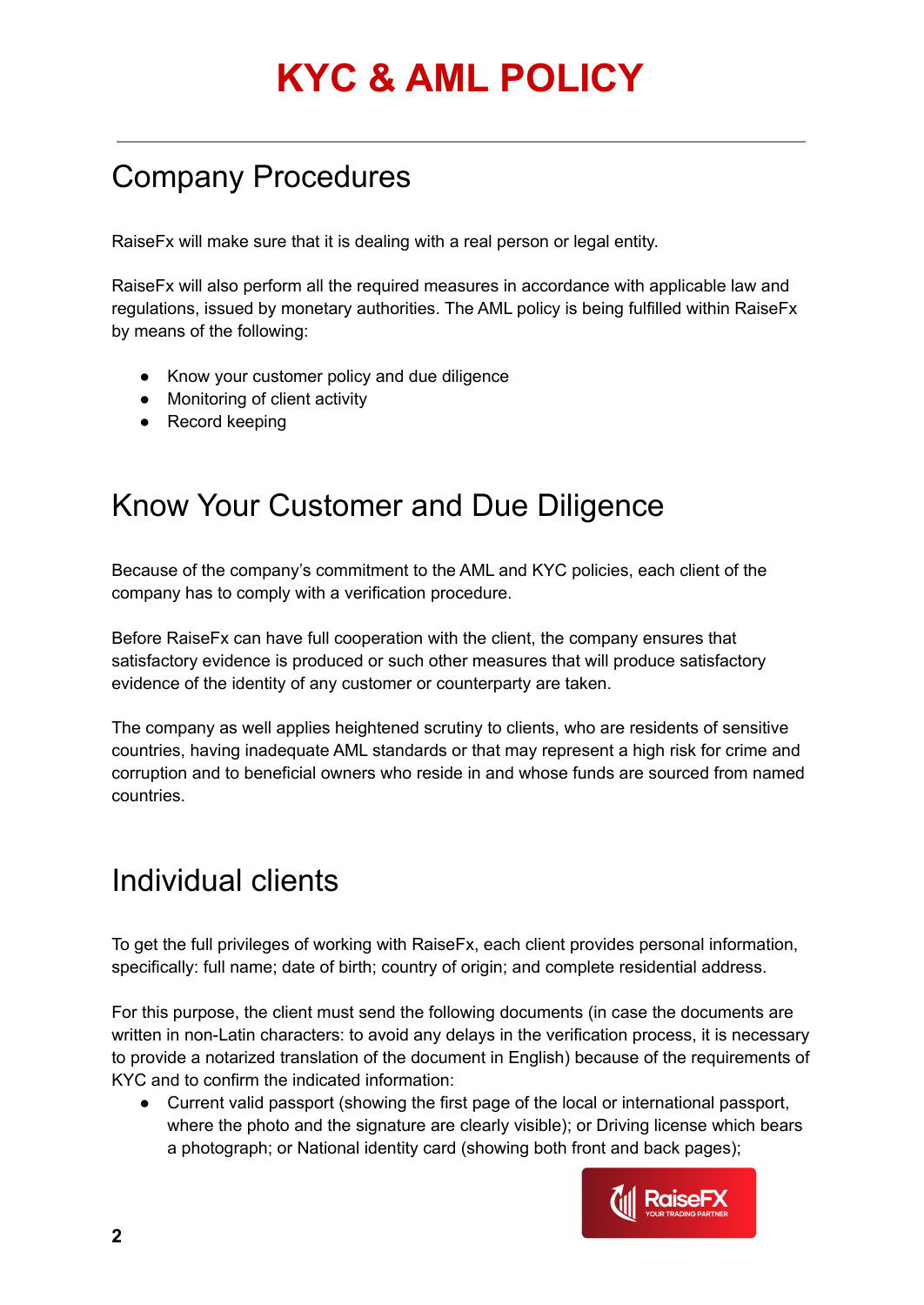#### Company Procedures

RaiseFx will make sure that it is dealing with a real person or legal entity.

RaiseFx will also perform all the required measures in accordance with applicable law and regulations, issued by monetary authorities. The AML policy is being fulfilled within RaiseFx by means of the following:

- Know your customer policy and due diligence
- Monitoring of client activity
- Record keeping

#### Know Your Customer and Due Diligence

Because of the company's commitment to the AML and KYC policies, each client of the company has to comply with a verification procedure.

Before RaiseFx can have full cooperation with the client, the company ensures that satisfactory evidence is produced or such other measures that will produce satisfactory evidence of the identity of any customer or counterparty are taken.

The company as well applies heightened scrutiny to clients, who are residents of sensitive countries, having inadequate AML standards or that may represent a high risk for crime and corruption and to beneficial owners who reside in and whose funds are sourced from named countries.

#### Individual clients

To get the full privileges of working with RaiseFx, each client provides personal information, specifically: full name; date of birth; country of origin; and complete residential address.

For this purpose, the client must send the following documents (in case the documents are written in non-Latin characters: to avoid any delays in the verification process, it is necessary to provide a notarized translation of the document in English) because of the requirements of KYC and to confirm the indicated information:

● Current valid passport (showing the first page of the local or international passport, where the photo and the signature are clearly visible); or Driving license which bears a photograph; or National identity card (showing both front and back pages);

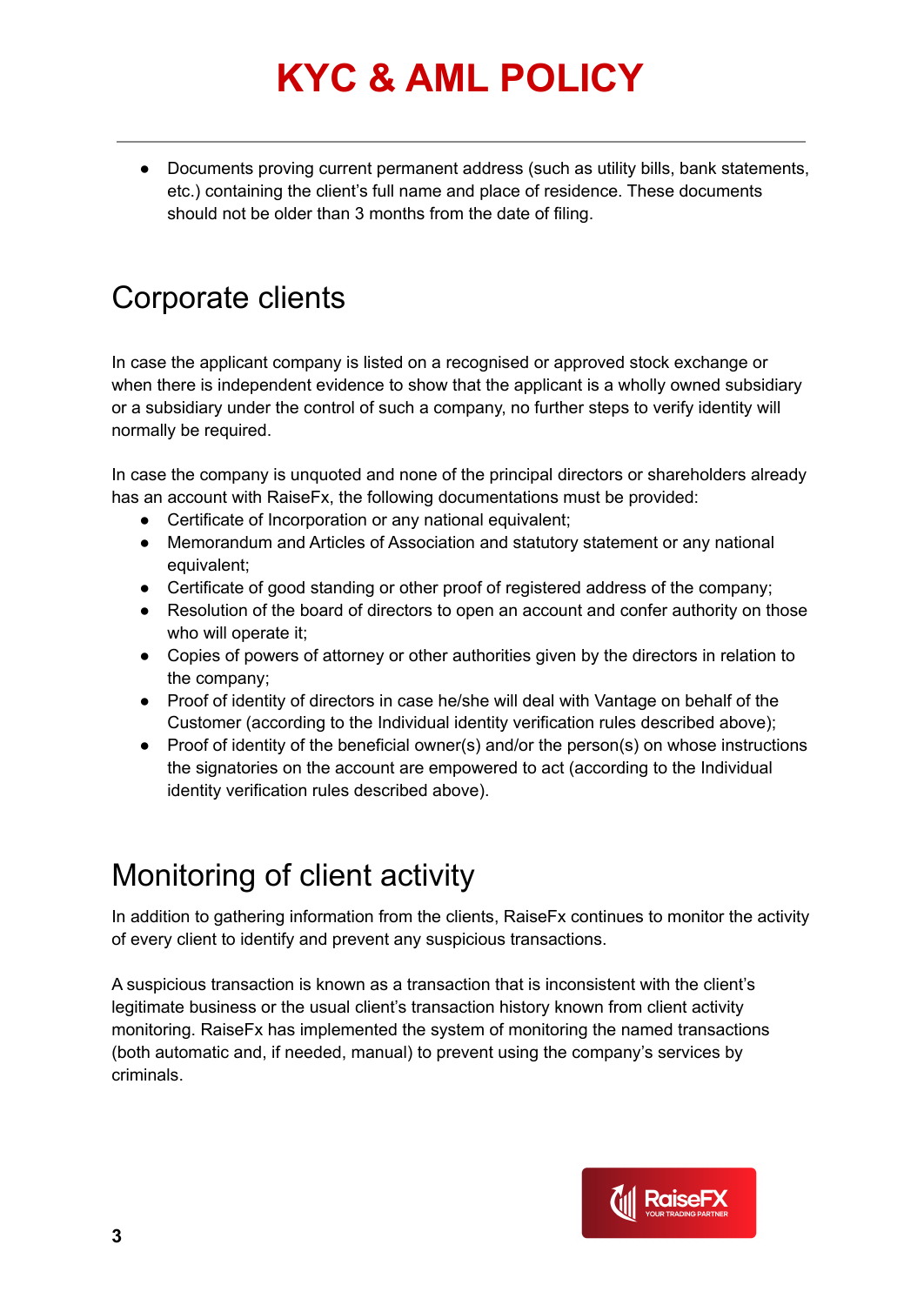● Documents proving current permanent address (such as utility bills, bank statements, etc.) containing the client's full name and place of residence. These documents should not be older than 3 months from the date of filing.

#### Corporate clients

In case the applicant company is listed on a recognised or approved stock exchange or when there is independent evidence to show that the applicant is a wholly owned subsidiary or a subsidiary under the control of such a company, no further steps to verify identity will normally be required.

In case the company is unquoted and none of the principal directors or shareholders already has an account with RaiseFx, the following documentations must be provided:

- Certificate of Incorporation or any national equivalent;
- Memorandum and Articles of Association and statutory statement or any national equivalent;
- Certificate of good standing or other proof of registered address of the company;
- Resolution of the board of directors to open an account and confer authority on those who will operate it;
- Copies of powers of attorney or other authorities given by the directors in relation to the company;
- Proof of identity of directors in case he/she will deal with Vantage on behalf of the Customer (according to the Individual identity verification rules described above);
- Proof of identity of the beneficial owner(s) and/or the person(s) on whose instructions the signatories on the account are empowered to act (according to the Individual identity verification rules described above).

### Monitoring of client activity

In addition to gathering information from the clients, RaiseFx continues to monitor the activity of every client to identify and prevent any suspicious transactions.

A suspicious transaction is known as a transaction that is inconsistent with the client's legitimate business or the usual client's transaction history known from client activity monitoring. RaiseFx has implemented the system of monitoring the named transactions (both automatic and, if needed, manual) to prevent using the company's services by criminals.

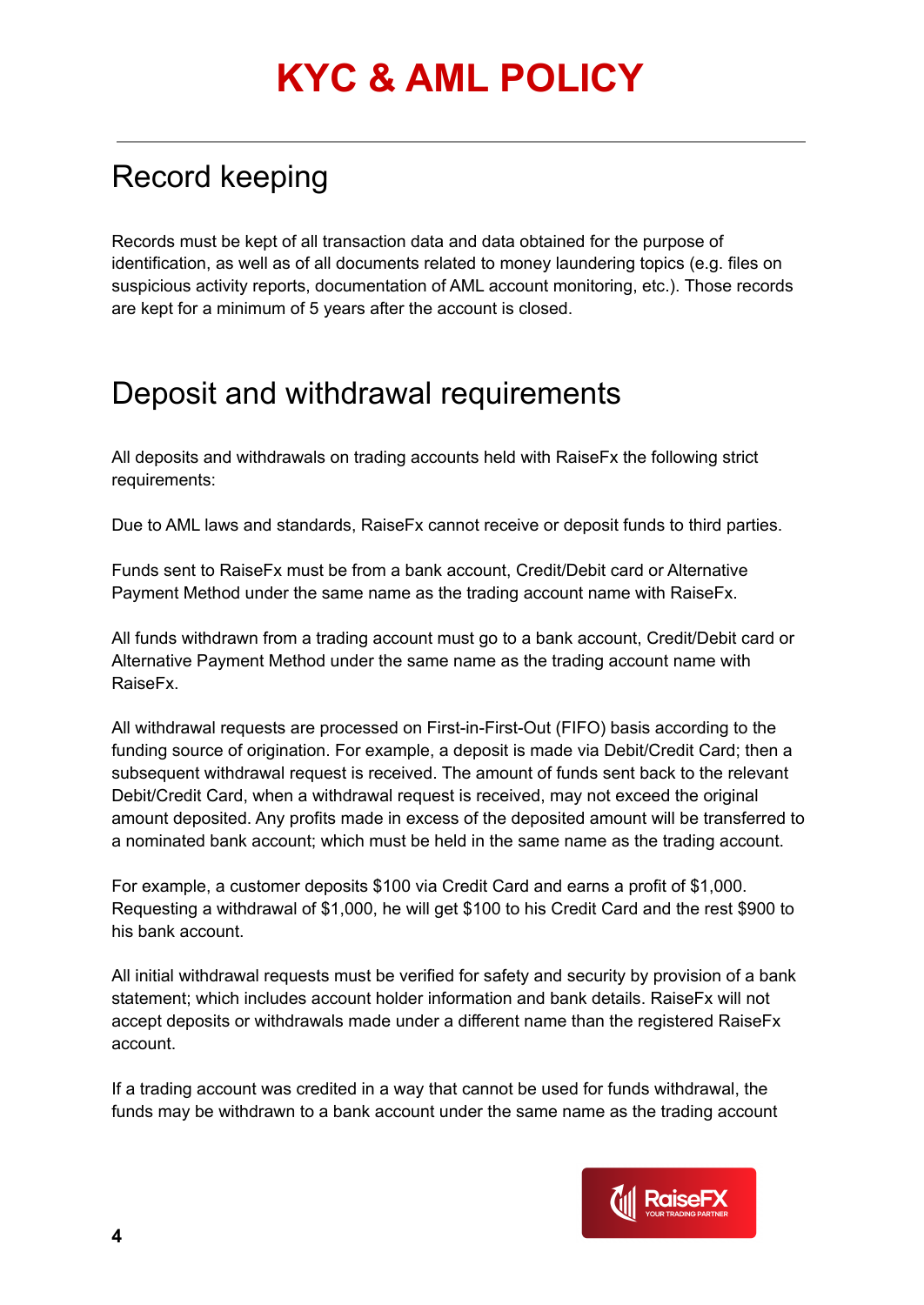### Record keeping

Records must be kept of all transaction data and data obtained for the purpose of identification, as well as of all documents related to money laundering topics (e.g. files on suspicious activity reports, documentation of AML account monitoring, etc.). Those records are kept for a minimum of 5 years after the account is closed.

#### Deposit and withdrawal requirements

All deposits and withdrawals on trading accounts held with RaiseFx the following strict requirements:

Due to AML laws and standards, RaiseFx cannot receive or deposit funds to third parties.

Funds sent to RaiseFx must be from a bank account, Credit/Debit card or Alternative Payment Method under the same name as the trading account name with RaiseFx.

All funds withdrawn from a trading account must go to a bank account, Credit/Debit card or Alternative Payment Method under the same name as the trading account name with RaiseFx.

All withdrawal requests are processed on First-in-First-Out (FIFO) basis according to the funding source of origination. For example, a deposit is made via Debit/Credit Card; then a subsequent withdrawal request is received. The amount of funds sent back to the relevant Debit/Credit Card, when a withdrawal request is received, may not exceed the original amount deposited. Any profits made in excess of the deposited amount will be transferred to a nominated bank account; which must be held in the same name as the trading account.

For example, a customer deposits \$100 via Credit Card and earns a profit of \$1,000. Requesting a withdrawal of \$1,000, he will get \$100 to his Credit Card and the rest \$900 to his bank account.

All initial withdrawal requests must be verified for safety and security by provision of a bank statement; which includes account holder information and bank details. RaiseFx will not accept deposits or withdrawals made under a different name than the registered RaiseFx account.

If a trading account was credited in a way that cannot be used for funds withdrawal, the funds may be withdrawn to a bank account under the same name as the trading account